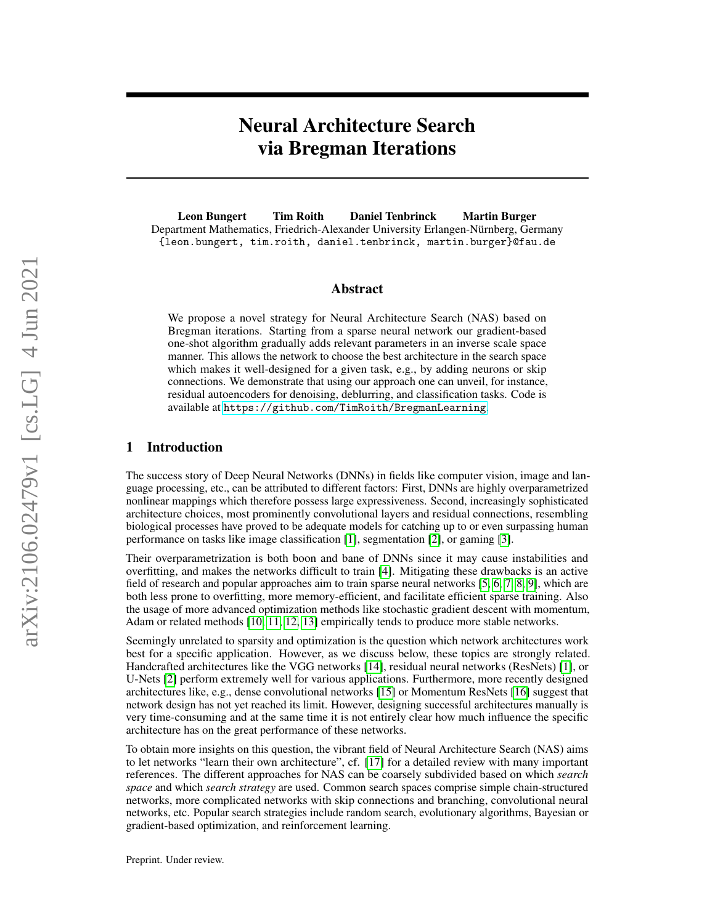# Neural Architecture Search via Bregman Iterations

Leon Bungert Tim Roith Daniel Tenbrinck Martin Burger Department Mathematics, Friedrich-Alexander University Erlangen-Nürnberg, Germany {leon.bungert, tim.roith, daniel.tenbrinck, martin.burger}@fau.de

#### Abstract

We propose a novel strategy for Neural Architecture Search (NAS) based on Bregman iterations. Starting from a sparse neural network our gradient-based one-shot algorithm gradually adds relevant parameters in an inverse scale space manner. This allows the network to choose the best architecture in the search space which makes it well-designed for a given task, e.g., by adding neurons or skip connections. We demonstrate that using our approach one can unveil, for instance, residual autoencoders for denoising, deblurring, and classification tasks. Code is available at <https://github.com/TimRoith/BregmanLearning>.

## 1 Introduction

The success story of Deep Neural Networks (DNNs) in fields like computer vision, image and language processing, etc., can be attributed to different factors: First, DNNs are highly overparametrized nonlinear mappings which therefore possess large expressiveness. Second, increasingly sophisticated architecture choices, most prominently convolutional layers and residual connections, resembling biological processes have proved to be adequate models for catching up to or even surpassing human performance on tasks like image classification [\[1\]](#page-7-0), segmentation [\[2\]](#page-7-1), or gaming [\[3\]](#page-7-2).

Their overparametrization is both boon and bane of DNNs since it may cause instabilities and overfitting, and makes the networks difficult to train [\[4\]](#page-7-3). Mitigating these drawbacks is an active field of research and popular approaches aim to train sparse neural networks [\[5,](#page-7-4) [6,](#page-8-0) [7,](#page-8-1) [8,](#page-8-2) [9\]](#page-8-3), which are both less prone to overfitting, more memory-efficient, and facilitate efficient sparse training. Also the usage of more advanced optimization methods like stochastic gradient descent with momentum, Adam or related methods [\[10,](#page-8-4) [11,](#page-8-5) [12,](#page-8-6) [13\]](#page-8-7) empirically tends to produce more stable networks.

Seemingly unrelated to sparsity and optimization is the question which network architectures work best for a specific application. However, as we discuss below, these topics are strongly related. Handcrafted architectures like the VGG networks [\[14\]](#page-8-8), residual neural networks (ResNets) [\[1\]](#page-7-0), or U-Nets [\[2\]](#page-7-1) perform extremely well for various applications. Furthermore, more recently designed architectures like, e.g., dense convolutional networks [\[15\]](#page-8-9) or Momentum ResNets [\[16\]](#page-8-10) suggest that network design has not yet reached its limit. However, designing successful architectures manually is very time-consuming and at the same time it is not entirely clear how much influence the specific architecture has on the great performance of these networks.

To obtain more insights on this question, the vibrant field of Neural Architecture Search (NAS) aims to let networks "learn their own architecture", cf. [\[17\]](#page-8-11) for a detailed review with many important references. The different approaches for NAS can be coarsely subdivided based on which *search space* and which *search strategy* are used. Common search spaces comprise simple chain-structured networks, more complicated networks with skip connections and branching, convolutional neural networks, etc. Popular search strategies include random search, evolutionary algorithms, Bayesian or gradient-based optimization, and reinforcement learning.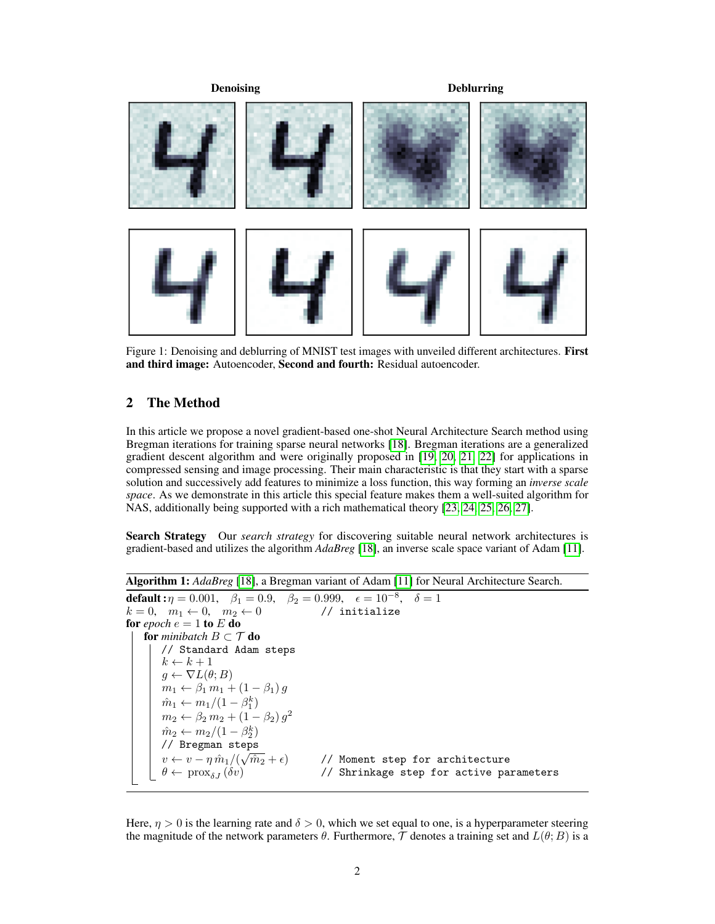

Figure 1: Denoising and deblurring of MNIST test images with unveiled different architectures. First and third image: Autoencoder, Second and fourth: Residual autoencoder.

# <span id="page-1-1"></span>2 The Method

In this article we propose a novel gradient-based one-shot Neural Architecture Search method using Bregman iterations for training sparse neural networks [\[18\]](#page-8-12). Bregman iterations are a generalized gradient descent algorithm and were originally proposed in [\[19,](#page-8-13) [20,](#page-8-14) [21,](#page-8-15) [22\]](#page-8-16) for applications in compressed sensing and image processing. Their main characteristic is that they start with a sparse solution and successively add features to minimize a loss function, this way forming an *inverse scale space*. As we demonstrate in this article this special feature makes them a well-suited algorithm for NAS, additionally being supported with a rich mathematical theory [\[23,](#page-8-17) [24,](#page-8-18) [25,](#page-8-19) [26,](#page-8-20) [27\]](#page-8-21).

Search Strategy Our *search strategy* for discovering suitable neural network architectures is gradient-based and utilizes the algorithm *AdaBreg* [\[18\]](#page-8-12), an inverse scale space variant of Adam [\[11\]](#page-8-5).

```
Algorithm 1: AdaBreg [18], a Bregman variant of Adam [11] for Neural Architecture Search.
default : \eta = 0.001, \beta_1 = 0.9, \beta_2 = 0.999, \epsilon = 10^{-8}, \delta = 1k = 0, \quad m_1 \leftarrow 0, \quad m_2 \leftarrow 0 // initialize
for epoch e = 1 to E do
    for minibatch B \subset \mathcal{T} do
         // Standard Adam steps
         k \leftarrow k + 1g \leftarrow \nabla L(\theta; B)m_1 \leftarrow \beta_1 m_1 + (1 - \beta_1) g\hat{m}_1 \leftarrow m_1/(1 - \beta_1^k)m_2 \leftarrow \beta_2 m_2 + (1 - \beta_2) g^2\hat{m}_2 \leftarrow m_2/(1-\beta_2^k)// Bregman steps
          v \leftarrow v - \eta \, \hat{m}_1 / (\sqrt{\}\widehat{m_{2}} + \epsilon) // Moment step for architecture
          \theta \leftarrow \text{prox}_{\delta J} \left( \delta v \right) \qquad \qquad \text{ // Shrinkage step for active parameters}
```
<span id="page-1-0"></span>Here,  $\eta > 0$  is the learning rate and  $\delta > 0$ , which we set equal to one, is a hyperparameter steering the magnitude of the network parameters  $\theta$ . Furthermore,  $\mathcal T$  denotes a training set and  $L(\theta; B)$  is a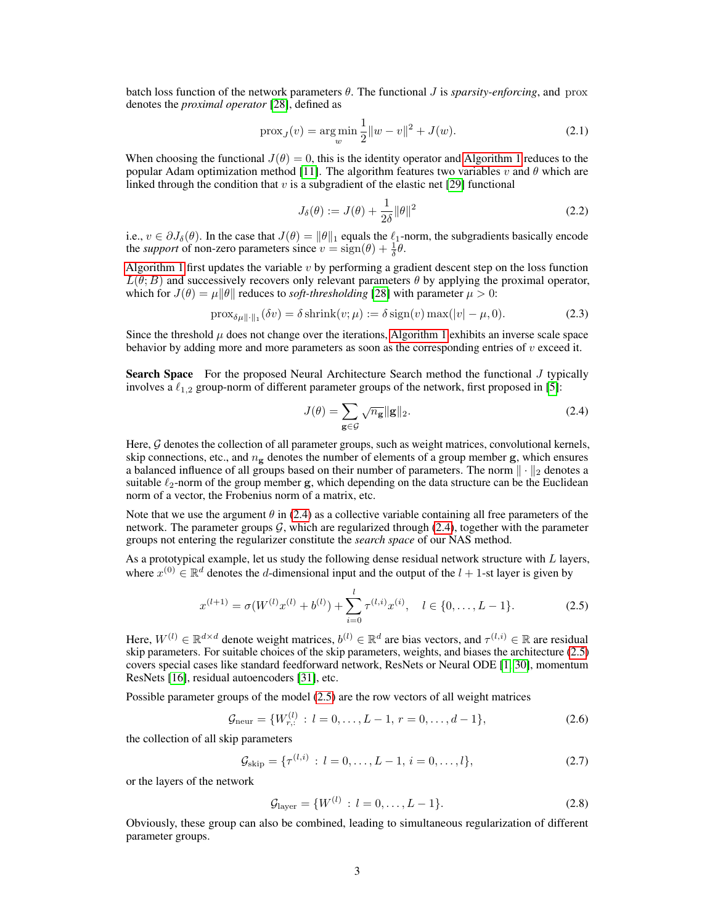batch loss function of the network parameters  $\theta$ . The functional J is *sparsity-enforcing*, and prox denotes the *proximal operator* [\[28\]](#page-8-22), defined as

$$
\text{prox}_{J}(v) = \underset{w}{\text{arg min}} \frac{1}{2} \|w - v\|^2 + J(w). \tag{2.1}
$$

When choosing the functional  $J(\theta) = 0$ , this is the identity operator and [Algorithm 1](#page-1-0) reduces to the popular Adam optimization method [\[11\]](#page-8-5). The algorithm features two variables  $v$  and  $\theta$  which are linked through the condition that v is a subgradient of the elastic net [\[29\]](#page-8-23) functional

$$
J_{\delta}(\theta) := J(\theta) + \frac{1}{2\delta} \|\theta\|^2 \tag{2.2}
$$

i.e.,  $v \in \partial J_{\delta}(\theta)$ . In the case that  $J(\theta) = ||\theta||_1$  equals the  $\ell_1$ -norm, the subgradients basically encode the *support* of non-zero parameters since  $v = sign(\theta) + \frac{1}{\delta}\theta$ .

[Algorithm 1](#page-1-0) first updates the variable  $v$  by performing a gradient descent step on the loss function  $L(\theta; B)$  and successively recovers only relevant parameters  $\theta$  by applying the proximal operator, which for  $J(\theta) = \mu \|\theta\|$  reduces to *soft-thresholding* [\[28\]](#page-8-22) with parameter  $\mu > 0$ :

$$
\text{prox}_{\delta\mu\|\cdot\|_1}(\delta v) = \delta \text{shrink}(v;\mu) := \delta \text{sign}(v) \max(|v| - \mu, 0). \tag{2.3}
$$

Since the threshold  $\mu$  does not change over the iterations, [Algorithm 1](#page-1-0) exhibits an inverse scale space behavior by adding more and more parameters as soon as the corresponding entries of  $v$  exceed it.

Search Space For the proposed Neural Architecture Search method the functional J typically involves a  $\ell_{1,2}$  group-norm of different parameter groups of the network, first proposed in [\[5\]](#page-7-4):

<span id="page-2-1"></span><span id="page-2-0"></span>
$$
J(\theta) = \sum_{\mathbf{g} \in \mathcal{G}} \sqrt{n_{\mathbf{g}}} ||\mathbf{g}||_2.
$$
 (2.4)

Here,  $G$  denotes the collection of all parameter groups, such as weight matrices, convolutional kernels, skip connections, etc., and  $n_e$  denotes the number of elements of a group member g, which ensures a balanced influence of all groups based on their number of parameters. The norm  $\|\cdot\|_2$  denotes a suitable  $\ell_2$ -norm of the group member g, which depending on the data structure can be the Euclidean norm of a vector, the Frobenius norm of a matrix, etc.

Note that we use the argument  $\theta$  in [\(2.4\)](#page-2-0) as a collective variable containing all free parameters of the network. The parameter groups  $G$ , which are regularized through [\(2.4\)](#page-2-0), together with the parameter groups not entering the regularizer constitute the *search space* of our NAS method.

As a prototypical example, let us study the following dense residual network structure with  $L$  layers, where  $x^{(0)} \in \mathbb{R}^d$  denotes the d-dimensional input and the output of the  $l + 1$ -st layer is given by

$$
x^{(l+1)} = \sigma(W^{(l)}x^{(l)} + b^{(l)}) + \sum_{i=0}^{l} \tau^{(l,i)}x^{(i)}, \quad l \in \{0, \dots, L-1\}.
$$
 (2.5)

Here,  $W^{(l)} \in \mathbb{R}^{d \times d}$  denote weight matrices,  $b^{(l)} \in \mathbb{R}^d$  are bias vectors, and  $\tau^{(l,i)} \in \mathbb{R}$  are residual skip parameters. For suitable choices of the skip parameters, weights, and biases the architecture [\(2.5\)](#page-2-1) covers special cases like standard feedforward network, ResNets or Neural ODE [\[1,](#page-7-0) [30\]](#page-9-0), momentum ResNets [\[16\]](#page-8-10), residual autoencoders [\[31\]](#page-9-1), etc.

Possible parameter groups of the model [\(2.5\)](#page-2-1) are the row vectors of all weight matrices

$$
\mathcal{G}_{\text{neur}} = \{W_{r,:}^{(l)} : l = 0, \dots, L-1, r = 0, \dots, d-1\},\tag{2.6}
$$

the collection of all skip parameters

$$
\mathcal{G}_{\text{skip}} = \{ \tau^{(l,i)} : l = 0, \dots, L-1, i = 0, \dots, l \},\tag{2.7}
$$

or the layers of the network

$$
\mathcal{G}_{\text{layer}} = \{W^{(l)} : l = 0, \dots, L - 1\}.
$$
\n(2.8)

Obviously, these group can also be combined, leading to simultaneous regularization of different parameter groups.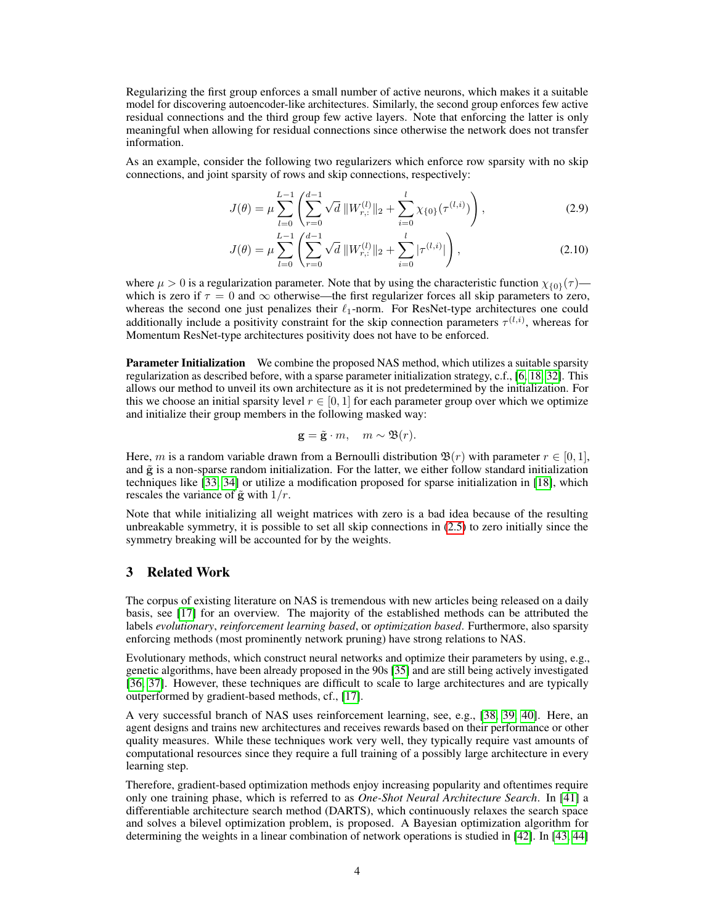Regularizing the first group enforces a small number of active neurons, which makes it a suitable model for discovering autoencoder-like architectures. Similarly, the second group enforces few active residual connections and the third group few active layers. Note that enforcing the latter is only meaningful when allowing for residual connections since otherwise the network does not transfer information.

As an example, consider the following two regularizers which enforce row sparsity with no skip connections, and joint sparsity of rows and skip connections, respectively:

<span id="page-3-0"></span>
$$
J(\theta) = \mu \sum_{l=0}^{L-1} \left( \sum_{r=0}^{d-1} \sqrt{d} \, \| W_{r,:}^{(l)} \|_2 + \sum_{i=0}^{l} \chi_{\{0\}}(\tau^{(l,i)}) \right),\tag{2.9}
$$

$$
J(\theta) = \mu \sum_{l=0}^{L-1} \left( \sum_{r=0}^{d-1} \sqrt{d} \, \| W_{r,:}^{(l)} \|_2 + \sum_{i=0}^{l} |\tau^{(l,i)}| \right),\tag{2.10}
$$

where  $\mu > 0$  is a regularization parameter. Note that by using the characteristic function  $\chi_{0}(\tau)$  which is zero if  $\tau = 0$  and  $\infty$  otherwise—the first regularizer forces all skip parameters to zero, whereas the second one just penalizes their  $\ell_1$ -norm. For ResNet-type architectures one could additionally include a positivity constraint for the skip connection parameters  $\tau^{(l,i)}$ , whereas for Momentum ResNet-type architectures positivity does not have to be enforced.

**Parameter Initialization** We combine the proposed NAS method, which utilizes a suitable sparsity regularization as described before, with a sparse parameter initialization strategy, c.f., [\[6,](#page-8-0) [18,](#page-8-12) [32\]](#page-9-2). This allows our method to unveil its own architecture as it is not predetermined by the initialization. For this we choose an initial sparsity level  $r \in [0, 1]$  for each parameter group over which we optimize and initialize their group members in the following masked way:

<span id="page-3-1"></span>
$$
\mathbf{g} = \tilde{\mathbf{g}} \cdot m, \quad m \sim \mathfrak{B}(r).
$$

Here, m is a random variable drawn from a Bernoulli distribution  $\mathcal{B}(r)$  with parameter  $r \in [0, 1]$ , and  $\tilde{g}$  is a non-sparse random initialization. For the latter, we either follow standard initialization techniques like [\[33,](#page-9-3) [34\]](#page-9-4) or utilize a modification proposed for sparse initialization in [\[18\]](#page-8-12), which rescales the variance of  $\tilde{g}$  with  $1/r$ .

Note that while initializing all weight matrices with zero is a bad idea because of the resulting unbreakable symmetry, it is possible to set all skip connections in [\(2.5\)](#page-2-1) to zero initially since the symmetry breaking will be accounted for by the weights.

# 3 Related Work

The corpus of existing literature on NAS is tremendous with new articles being released on a daily basis, see [\[17\]](#page-8-11) for an overview. The majority of the established methods can be attributed the labels *evolutionary*, *reinforcement learning based*, or *optimization based*. Furthermore, also sparsity enforcing methods (most prominently network pruning) have strong relations to NAS.

Evolutionary methods, which construct neural networks and optimize their parameters by using, e.g., genetic algorithms, have been already proposed in the 90s [\[35\]](#page-9-5) and are still being actively investigated [\[36,](#page-9-6) [37\]](#page-9-7). However, these techniques are difficult to scale to large architectures and are typically outperformed by gradient-based methods, cf., [\[17\]](#page-8-11).

A very successful branch of NAS uses reinforcement learning, see, e.g., [\[38,](#page-9-8) [39,](#page-9-9) [40\]](#page-9-10). Here, an agent designs and trains new architectures and receives rewards based on their performance or other quality measures. While these techniques work very well, they typically require vast amounts of computational resources since they require a full training of a possibly large architecture in every learning step.

Therefore, gradient-based optimization methods enjoy increasing popularity and oftentimes require only one training phase, which is referred to as *One-Shot Neural Architecture Search*. In [\[41\]](#page-9-11) a differentiable architecture search method (DARTS), which continuously relaxes the search space and solves a bilevel optimization problem, is proposed. A Bayesian optimization algorithm for determining the weights in a linear combination of network operations is studied in [\[42\]](#page-9-12). In [\[43,](#page-9-13) [44\]](#page-9-14)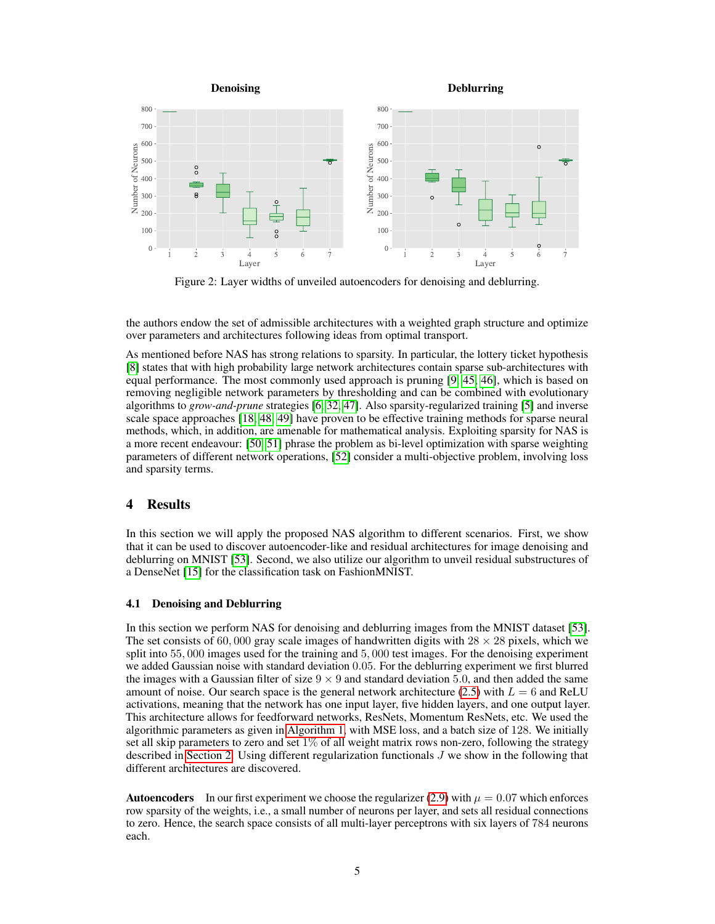<span id="page-4-0"></span>

Figure 2: Layer widths of unveiled autoencoders for denoising and deblurring.

the authors endow the set of admissible architectures with a weighted graph structure and optimize over parameters and architectures following ideas from optimal transport.

As mentioned before NAS has strong relations to sparsity. In particular, the lottery ticket hypothesis [\[8\]](#page-8-2) states that with high probability large network architectures contain sparse sub-architectures with equal performance. The most commonly used approach is pruning [\[9,](#page-8-3) [45,](#page-9-15) [46\]](#page-9-16), which is based on removing negligible network parameters by thresholding and can be combined with evolutionary algorithms to *grow-and-prune* strategies [\[6,](#page-8-0) [32,](#page-9-2) [47\]](#page-9-17). Also sparsity-regularized training [\[5\]](#page-7-4) and inverse scale space approaches [\[18,](#page-8-12) [48,](#page-9-18) [49\]](#page-9-19) have proven to be effective training methods for sparse neural methods, which, in addition, are amenable for mathematical analysis. Exploiting sparsity for NAS is a more recent endeavour: [\[50,](#page-10-0) [51\]](#page-10-1) phrase the problem as bi-level optimization with sparse weighting parameters of different network operations, [\[52\]](#page-10-2) consider a multi-objective problem, involving loss and sparsity terms.

### 4 Results

In this section we will apply the proposed NAS algorithm to different scenarios. First, we show that it can be used to discover autoencoder-like and residual architectures for image denoising and deblurring on MNIST [\[53\]](#page-10-3). Second, we also utilize our algorithm to unveil residual substructures of a DenseNet [\[15\]](#page-8-9) for the classification task on FashionMNIST.

#### 4.1 Denoising and Deblurring

In this section we perform NAS for denoising and deblurring images from the MNIST dataset [\[53\]](#page-10-3). The set consists of 60,000 gray scale images of handwritten digits with  $28 \times 28$  pixels, which we split into 55, 000 images used for the training and 5, 000 test images. For the denoising experiment we added Gaussian noise with standard deviation 0.05. For the deblurring experiment we first blurred the images with a Gaussian filter of size  $9 \times 9$  and standard deviation 5.0, and then added the same amount of noise. Our search space is the general network architecture [\(2.5\)](#page-2-1) with  $L = 6$  and ReLU activations, meaning that the network has one input layer, five hidden layers, and one output layer. This architecture allows for feedforward networks, ResNets, Momentum ResNets, etc. We used the algorithmic parameters as given in [Algorithm 1,](#page-1-0) with MSE loss, and a batch size of 128. We initially set all skip parameters to zero and set  $1\%$  of all weight matrix rows non-zero, following the strategy described in [Section 2.](#page-1-1) Using different regularization functionals  $J$  we show in the following that different architectures are discovered.

**Autoencoders** In our first experiment we choose the regularizer [\(2.9\)](#page-3-0) with  $\mu = 0.07$  which enforces row sparsity of the weights, i.e., a small number of neurons per layer, and sets all residual connections to zero. Hence, the search space consists of all multi-layer perceptrons with six layers of 784 neurons each.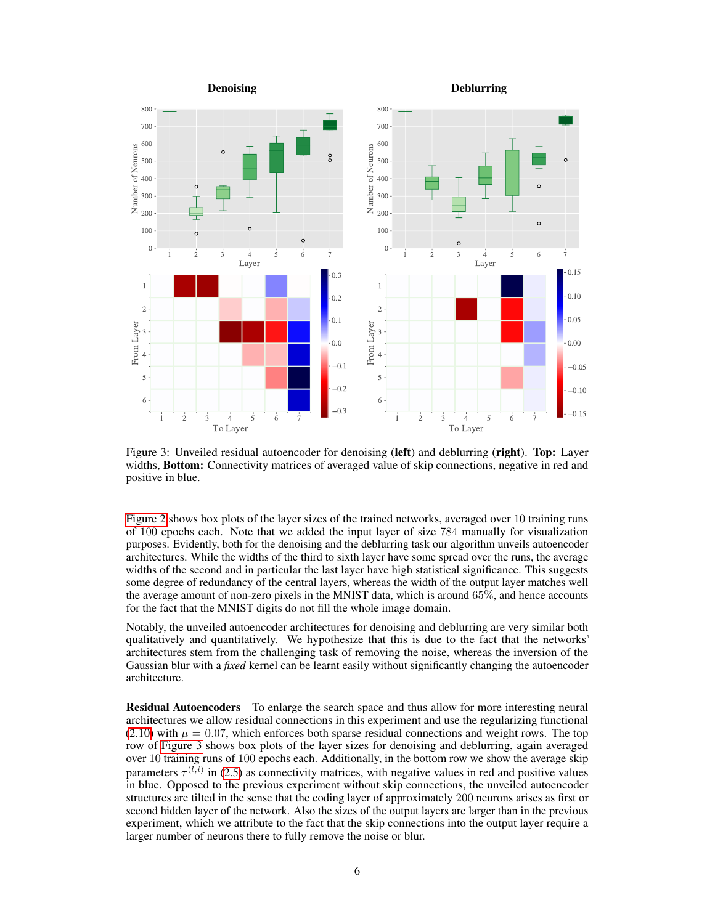<span id="page-5-0"></span>

Figure 3: Unveiled residual autoencoder for denoising (left) and deblurring (right). Top: Layer widths, **Bottom:** Connectivity matrices of averaged value of skip connections, negative in red and positive in blue.

[Figure 2](#page-4-0) shows box plots of the layer sizes of the trained networks, averaged over 10 training runs of 100 epochs each. Note that we added the input layer of size 784 manually for visualization purposes. Evidently, both for the denoising and the deblurring task our algorithm unveils autoencoder architectures. While the widths of the third to sixth layer have some spread over the runs, the average widths of the second and in particular the last layer have high statistical significance. This suggests some degree of redundancy of the central layers, whereas the width of the output layer matches well the average amount of non-zero pixels in the MNIST data, which is around 65%, and hence accounts for the fact that the MNIST digits do not fill the whole image domain.

Notably, the unveiled autoencoder architectures for denoising and deblurring are very similar both qualitatively and quantitatively. We hypothesize that this is due to the fact that the networks' architectures stem from the challenging task of removing the noise, whereas the inversion of the Gaussian blur with a *fixed* kernel can be learnt easily without significantly changing the autoencoder architecture.

Residual Autoencoders To enlarge the search space and thus allow for more interesting neural architectures we allow residual connections in this experiment and use the regularizing functional  $(2.10)$  with  $\mu = 0.07$ , which enforces both sparse residual connections and weight rows. The top row of [Figure 3](#page-5-0) shows box plots of the layer sizes for denoising and deblurring, again averaged over 10 training runs of 100 epochs each. Additionally, in the bottom row we show the average skip parameters  $\tau^{(l,i)}$  in [\(2.5\)](#page-2-1) as connectivity matrices, with negative values in red and positive values in blue. Opposed to the previous experiment without skip connections, the unveiled autoencoder structures are tilted in the sense that the coding layer of approximately 200 neurons arises as first or second hidden layer of the network. Also the sizes of the output layers are larger than in the previous experiment, which we attribute to the fact that the skip connections into the output layer require a larger number of neurons there to fully remove the noise or blur.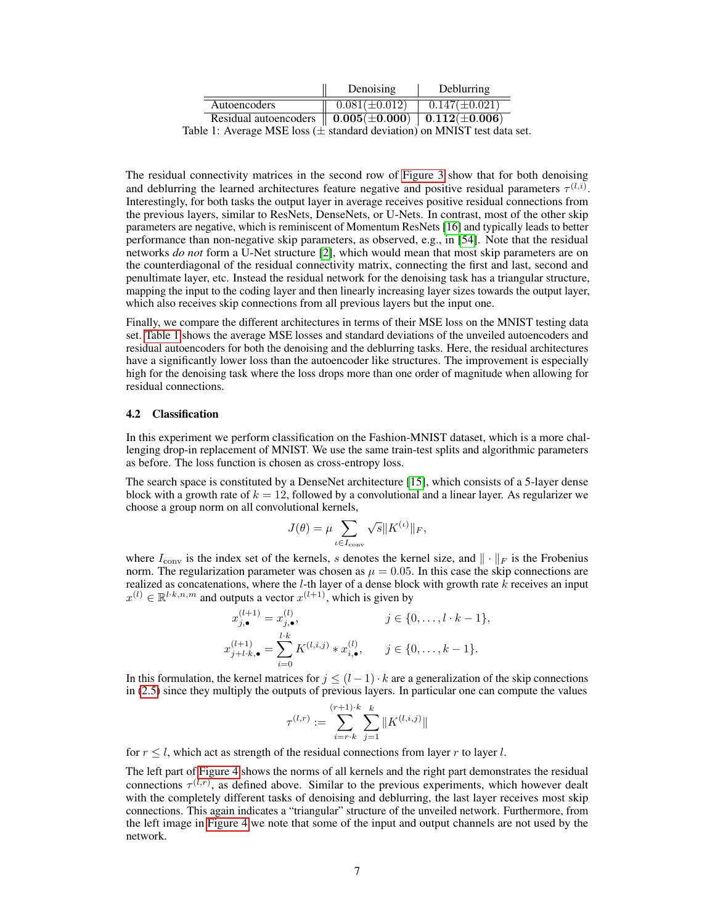|                                                                 | Denoising          | Deblurring          |
|-----------------------------------------------------------------|--------------------|---------------------|
| Autoencoders                                                    | $0.081(\pm 0.012)$ | $0.147(\pm 0.021)$  |
| Residual autoencoders $\  0.005(\pm 0.000) \  0.112(\pm 0.006)$ |                    |                     |
|                                                                 |                    | <b>1. EL TEOLOR</b> |

<span id="page-6-0"></span>Table 1: Average MSE loss ( $\pm$  standard deviation) on MNIST test data set.

The residual connectivity matrices in the second row of [Figure 3](#page-5-0) show that for both denoising and deblurring the learned architectures feature negative and positive residual parameters  $\tau^{(l,i)}$ . Interestingly, for both tasks the output layer in average receives positive residual connections from the previous layers, similar to ResNets, DenseNets, or U-Nets. In contrast, most of the other skip parameters are negative, which is reminiscent of Momentum ResNets [\[16\]](#page-8-10) and typically leads to better performance than non-negative skip parameters, as observed, e.g., in [\[54\]](#page-10-4). Note that the residual networks *do not* form a U-Net structure [\[2\]](#page-7-1), which would mean that most skip parameters are on the counterdiagonal of the residual connectivity matrix, connecting the first and last, second and penultimate layer, etc. Instead the residual network for the denoising task has a triangular structure, mapping the input to the coding layer and then linearly increasing layer sizes towards the output layer, which also receives skip connections from all previous layers but the input one.

Finally, we compare the different architectures in terms of their MSE loss on the MNIST testing data set. [Table 1](#page-6-0) shows the average MSE losses and standard deviations of the unveiled autoencoders and residual autoencoders for both the denoising and the deblurring tasks. Here, the residual architectures have a significantly lower loss than the autoencoder like structures. The improvement is especially high for the denoising task where the loss drops more than one order of magnitude when allowing for residual connections.

#### 4.2 Classification

In this experiment we perform classification on the Fashion-MNIST dataset, which is a more challenging drop-in replacement of MNIST. We use the same train-test splits and algorithmic parameters as before. The loss function is chosen as cross-entropy loss.

The search space is constituted by a DenseNet architecture [\[15\]](#page-8-9), which consists of a 5-layer dense block with a growth rate of  $k = 12$ , followed by a convolutional and a linear layer. As regularizer we choose a group norm on all convolutional kernels,

$$
J(\theta) = \mu \sum_{\iota \in I_{\text{conv}}} \sqrt{s} \| K^{(\iota)} \|_F,
$$

where  $I_{\text{conv}}$  is the index set of the kernels, s denotes the kernel size, and  $\|\cdot\|_F$  is the Frobenius norm. The regularization parameter was chosen as  $\mu = 0.05$ . In this case the skip connections are realized as concatenations, where the  $l$ -th layer of a dense block with growth rate  $k$  receives an input  $x^{(l)} \in \mathbb{R}^{l \cdot k, n, m}$  and outputs a vector  $x^{(l+1)}$ , which is given by

$$
x_{j,\bullet}^{(l+1)} = x_{j,\bullet}^{(l)}, \qquad j \in \{0, \ldots, l \cdot k - 1\},
$$
  

$$
x_{j+l \cdot k,\bullet}^{(l+1)} = \sum_{i=0}^{l \cdot k} K^{(l,i,j)} * x_{i,\bullet}^{(l)}, \qquad j \in \{0, \ldots, k - 1\}.
$$

In this formulation, the kernel matrices for  $j \leq (l-1) \cdot k$  are a generalization of the skip connections in [\(2.5\)](#page-2-1) since they multiply the outputs of previous layers. In particular one can compute the values

$$
\tau^{(l,r)} := \sum_{i=r \cdot k}^{(r+1) \cdot k} \sum_{j=1}^{k} \| K^{(l,i,j)} \|
$$

for  $r < l$ , which act as strength of the residual connections from layer r to layer l.

The left part of [Figure 4](#page-7-5) shows the norms of all kernels and the right part demonstrates the residual connections  $\tau^{(l,r)}$ , as defined above. Similar to the previous experiments, which however dealt with the completely different tasks of denoising and deblurring, the last layer receives most skip connections. This again indicates a "triangular" structure of the unveiled network. Furthermore, from the left image in [Figure 4](#page-7-5) we note that some of the input and output channels are not used by the network.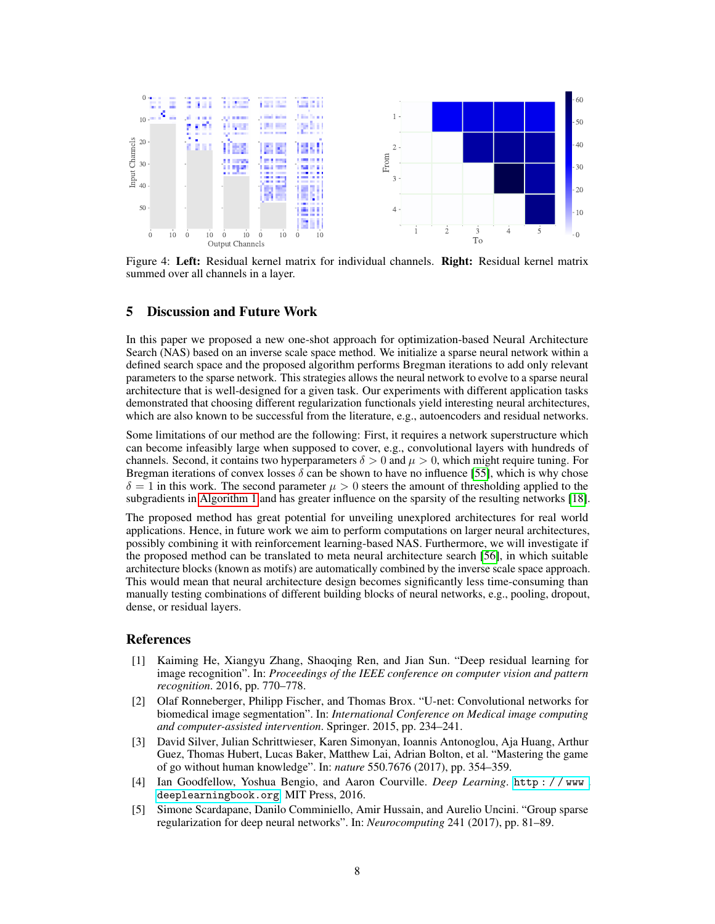<span id="page-7-5"></span>

Figure 4: Left: Residual kernel matrix for individual channels. Right: Residual kernel matrix summed over all channels in a layer.

### 5 Discussion and Future Work

In this paper we proposed a new one-shot approach for optimization-based Neural Architecture Search (NAS) based on an inverse scale space method. We initialize a sparse neural network within a defined search space and the proposed algorithm performs Bregman iterations to add only relevant parameters to the sparse network. This strategies allows the neural network to evolve to a sparse neural architecture that is well-designed for a given task. Our experiments with different application tasks demonstrated that choosing different regularization functionals yield interesting neural architectures, which are also known to be successful from the literature, e.g., autoencoders and residual networks.

Some limitations of our method are the following: First, it requires a network superstructure which can become infeasibly large when supposed to cover, e.g., convolutional layers with hundreds of channels. Second, it contains two hyperparameters  $\delta > 0$  and  $\mu > 0$ , which might require tuning. For Bregman iterations of convex losses  $\delta$  can be shown to have no influence [\[55\]](#page-10-5), which is why chose  $\delta = 1$  in this work. The second parameter  $\mu > 0$  steers the amount of thresholding applied to the subgradients in [Algorithm 1](#page-1-0) and has greater influence on the sparsity of the resulting networks [\[18\]](#page-8-12).

The proposed method has great potential for unveiling unexplored architectures for real world applications. Hence, in future work we aim to perform computations on larger neural architectures, possibly combining it with reinforcement learning-based NAS. Furthermore, we will investigate if the proposed method can be translated to meta neural architecture search [\[56\]](#page-10-6), in which suitable architecture blocks (known as motifs) are automatically combined by the inverse scale space approach. This would mean that neural architecture design becomes significantly less time-consuming than manually testing combinations of different building blocks of neural networks, e.g., pooling, dropout, dense, or residual layers.

#### References

- <span id="page-7-0"></span>[1] Kaiming He, Xiangyu Zhang, Shaoqing Ren, and Jian Sun. "Deep residual learning for image recognition". In: *Proceedings of the IEEE conference on computer vision and pattern recognition*. 2016, pp. 770–778.
- <span id="page-7-1"></span>[2] Olaf Ronneberger, Philipp Fischer, and Thomas Brox. "U-net: Convolutional networks for biomedical image segmentation". In: *International Conference on Medical image computing and computer-assisted intervention*. Springer. 2015, pp. 234–241.
- <span id="page-7-2"></span>[3] David Silver, Julian Schrittwieser, Karen Simonyan, Ioannis Antonoglou, Aja Huang, Arthur Guez, Thomas Hubert, Lucas Baker, Matthew Lai, Adrian Bolton, et al. "Mastering the game of go without human knowledge". In: *nature* 550.7676 (2017), pp. 354–359.
- <span id="page-7-3"></span>[4] Ian Goodfellow, Yoshua Bengio, and Aaron Courville. *Deep Learning*. [http : / / www .](http://www.deeplearningbook.org) [deeplearningbook.org](http://www.deeplearningbook.org). MIT Press, 2016.
- <span id="page-7-4"></span>[5] Simone Scardapane, Danilo Comminiello, Amir Hussain, and Aurelio Uncini. "Group sparse regularization for deep neural networks". In: *Neurocomputing* 241 (2017), pp. 81–89.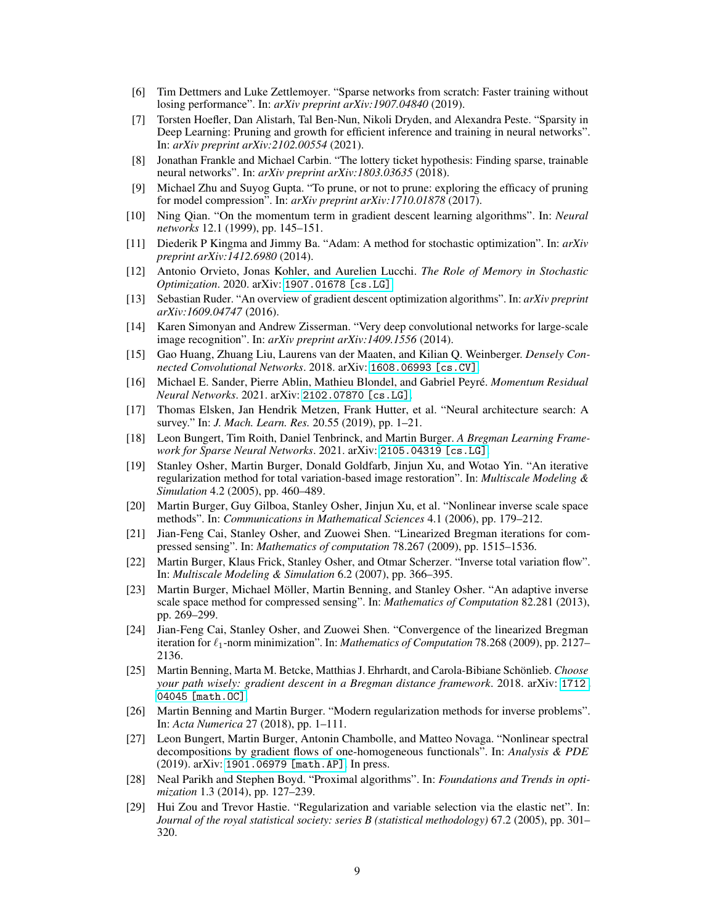- <span id="page-8-0"></span>[6] Tim Dettmers and Luke Zettlemoyer. "Sparse networks from scratch: Faster training without losing performance". In: *arXiv preprint arXiv:1907.04840* (2019).
- <span id="page-8-1"></span>[7] Torsten Hoefler, Dan Alistarh, Tal Ben-Nun, Nikoli Dryden, and Alexandra Peste. "Sparsity in Deep Learning: Pruning and growth for efficient inference and training in neural networks". In: *arXiv preprint arXiv:2102.00554* (2021).
- <span id="page-8-2"></span>[8] Jonathan Frankle and Michael Carbin. "The lottery ticket hypothesis: Finding sparse, trainable neural networks". In: *arXiv preprint arXiv:1803.03635* (2018).
- <span id="page-8-3"></span>[9] Michael Zhu and Suyog Gupta. "To prune, or not to prune: exploring the efficacy of pruning for model compression". In: *arXiv preprint arXiv:1710.01878* (2017).
- <span id="page-8-4"></span>[10] Ning Qian. "On the momentum term in gradient descent learning algorithms". In: *Neural networks* 12.1 (1999), pp. 145–151.
- <span id="page-8-5"></span>[11] Diederik P Kingma and Jimmy Ba. "Adam: A method for stochastic optimization". In: *arXiv preprint arXiv:1412.6980* (2014).
- <span id="page-8-6"></span>[12] Antonio Orvieto, Jonas Kohler, and Aurelien Lucchi. *The Role of Memory in Stochastic Optimization*. 2020. arXiv: [1907.01678 \[cs.LG\]](https://arxiv.org/abs/1907.01678).
- <span id="page-8-7"></span>[13] Sebastian Ruder. "An overview of gradient descent optimization algorithms". In: *arXiv preprint arXiv:1609.04747* (2016).
- <span id="page-8-8"></span>[14] Karen Simonyan and Andrew Zisserman. "Very deep convolutional networks for large-scale image recognition". In: *arXiv preprint arXiv:1409.1556* (2014).
- <span id="page-8-9"></span>[15] Gao Huang, Zhuang Liu, Laurens van der Maaten, and Kilian Q. Weinberger. *Densely Connected Convolutional Networks*. 2018. arXiv: [1608.06993 \[cs.CV\]](https://arxiv.org/abs/1608.06993).
- <span id="page-8-10"></span>[16] Michael E. Sander, Pierre Ablin, Mathieu Blondel, and Gabriel Peyré. *Momentum Residual Neural Networks*. 2021. arXiv: [2102.07870 \[cs.LG\]](https://arxiv.org/abs/2102.07870).
- <span id="page-8-11"></span>[17] Thomas Elsken, Jan Hendrik Metzen, Frank Hutter, et al. "Neural architecture search: A survey." In: *J. Mach. Learn. Res.* 20.55 (2019), pp. 1–21.
- <span id="page-8-12"></span>[18] Leon Bungert, Tim Roith, Daniel Tenbrinck, and Martin Burger. *A Bregman Learning Framework for Sparse Neural Networks*. 2021. arXiv: [2105.04319 \[cs.LG\]](https://arxiv.org/abs/2105.04319).
- <span id="page-8-13"></span>[19] Stanley Osher, Martin Burger, Donald Goldfarb, Jinjun Xu, and Wotao Yin. "An iterative regularization method for total variation-based image restoration". In: *Multiscale Modeling & Simulation* 4.2 (2005), pp. 460–489.
- <span id="page-8-14"></span>[20] Martin Burger, Guy Gilboa, Stanley Osher, Jinjun Xu, et al. "Nonlinear inverse scale space methods". In: *Communications in Mathematical Sciences* 4.1 (2006), pp. 179–212.
- <span id="page-8-15"></span>[21] Jian-Feng Cai, Stanley Osher, and Zuowei Shen. "Linearized Bregman iterations for compressed sensing". In: *Mathematics of computation* 78.267 (2009), pp. 1515–1536.
- <span id="page-8-16"></span>[22] Martin Burger, Klaus Frick, Stanley Osher, and Otmar Scherzer. "Inverse total variation flow". In: *Multiscale Modeling & Simulation* 6.2 (2007), pp. 366–395.
- <span id="page-8-17"></span>[23] Martin Burger, Michael Möller, Martin Benning, and Stanley Osher. "An adaptive inverse scale space method for compressed sensing". In: *Mathematics of Computation* 82.281 (2013), pp. 269–299.
- <span id="page-8-18"></span>[24] Jian-Feng Cai, Stanley Osher, and Zuowei Shen. "Convergence of the linearized Bregman iteration for  $\ell_1$ -norm minimization". In: *Mathematics of Computation* 78.268 (2009), pp. 2127– 2136.
- <span id="page-8-19"></span>[25] Martin Benning, Marta M. Betcke, Matthias J. Ehrhardt, and Carola-Bibiane Schönlieb. *Choose your path wisely: gradient descent in a Bregman distance framework*. 2018. arXiv: [1712.](https://arxiv.org/abs/1712.04045) [04045 \[math.OC\]](https://arxiv.org/abs/1712.04045).
- <span id="page-8-20"></span>[26] Martin Benning and Martin Burger. "Modern regularization methods for inverse problems". In: *Acta Numerica* 27 (2018), pp. 1–111.
- <span id="page-8-21"></span>[27] Leon Bungert, Martin Burger, Antonin Chambolle, and Matteo Novaga. "Nonlinear spectral decompositions by gradient flows of one-homogeneous functionals". In: *Analysis & PDE* (2019). arXiv: [1901.06979 \[math.AP\]](https://arxiv.org/abs/1901.06979). In press.
- <span id="page-8-22"></span>[28] Neal Parikh and Stephen Boyd. "Proximal algorithms". In: *Foundations and Trends in optimization* 1.3 (2014), pp. 127–239.
- <span id="page-8-23"></span>[29] Hui Zou and Trevor Hastie. "Regularization and variable selection via the elastic net". In: *Journal of the royal statistical society: series B (statistical methodology)* 67.2 (2005), pp. 301– 320.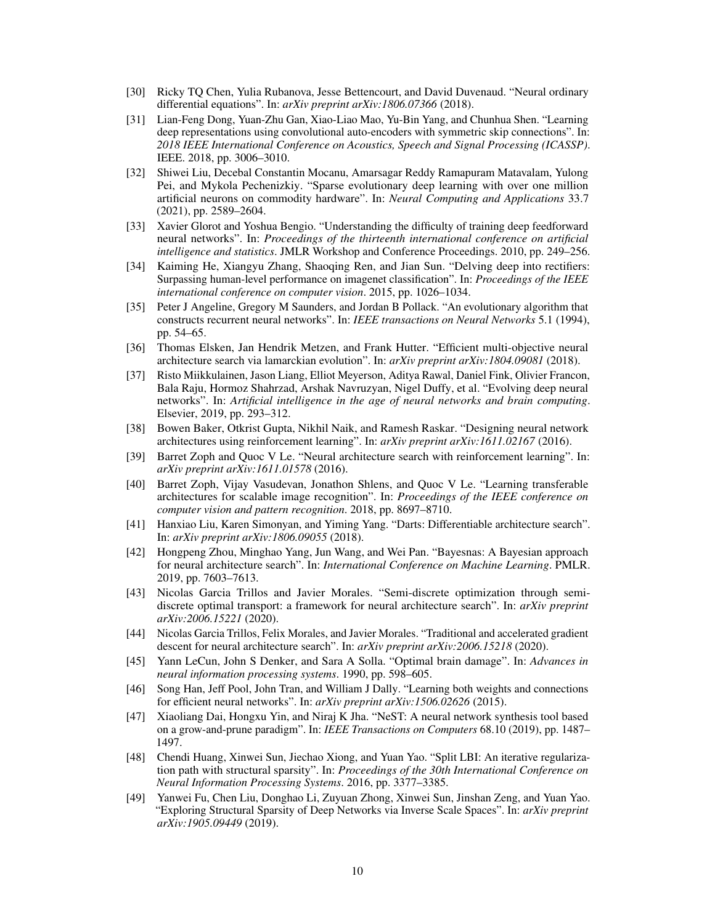- <span id="page-9-0"></span>[30] Ricky TQ Chen, Yulia Rubanova, Jesse Bettencourt, and David Duvenaud. "Neural ordinary differential equations". In: *arXiv preprint arXiv:1806.07366* (2018).
- <span id="page-9-1"></span>[31] Lian-Feng Dong, Yuan-Zhu Gan, Xiao-Liao Mao, Yu-Bin Yang, and Chunhua Shen. "Learning deep representations using convolutional auto-encoders with symmetric skip connections". In: *2018 IEEE International Conference on Acoustics, Speech and Signal Processing (ICASSP)*. IEEE. 2018, pp. 3006–3010.
- <span id="page-9-2"></span>[32] Shiwei Liu, Decebal Constantin Mocanu, Amarsagar Reddy Ramapuram Matavalam, Yulong Pei, and Mykola Pechenizkiy. "Sparse evolutionary deep learning with over one million artificial neurons on commodity hardware". In: *Neural Computing and Applications* 33.7 (2021), pp. 2589–2604.
- <span id="page-9-3"></span>[33] Xavier Glorot and Yoshua Bengio. "Understanding the difficulty of training deep feedforward neural networks". In: *Proceedings of the thirteenth international conference on artificial intelligence and statistics*. JMLR Workshop and Conference Proceedings. 2010, pp. 249–256.
- <span id="page-9-4"></span>[34] Kaiming He, Xiangyu Zhang, Shaoqing Ren, and Jian Sun. "Delving deep into rectifiers: Surpassing human-level performance on imagenet classification". In: *Proceedings of the IEEE international conference on computer vision*. 2015, pp. 1026–1034.
- <span id="page-9-5"></span>[35] Peter J Angeline, Gregory M Saunders, and Jordan B Pollack. "An evolutionary algorithm that constructs recurrent neural networks". In: *IEEE transactions on Neural Networks* 5.1 (1994), pp. 54–65.
- <span id="page-9-6"></span>[36] Thomas Elsken, Jan Hendrik Metzen, and Frank Hutter. "Efficient multi-objective neural architecture search via lamarckian evolution". In: *arXiv preprint arXiv:1804.09081* (2018).
- <span id="page-9-7"></span>[37] Risto Miikkulainen, Jason Liang, Elliot Meyerson, Aditya Rawal, Daniel Fink, Olivier Francon, Bala Raju, Hormoz Shahrzad, Arshak Navruzyan, Nigel Duffy, et al. "Evolving deep neural networks". In: *Artificial intelligence in the age of neural networks and brain computing*. Elsevier, 2019, pp. 293–312.
- <span id="page-9-8"></span>[38] Bowen Baker, Otkrist Gupta, Nikhil Naik, and Ramesh Raskar. "Designing neural network architectures using reinforcement learning". In: *arXiv preprint arXiv:1611.02167* (2016).
- <span id="page-9-9"></span>[39] Barret Zoph and Quoc V Le. "Neural architecture search with reinforcement learning". In: *arXiv preprint arXiv:1611.01578* (2016).
- <span id="page-9-10"></span>[40] Barret Zoph, Vijay Vasudevan, Jonathon Shlens, and Quoc V Le. "Learning transferable architectures for scalable image recognition". In: *Proceedings of the IEEE conference on computer vision and pattern recognition*. 2018, pp. 8697–8710.
- <span id="page-9-11"></span>[41] Hanxiao Liu, Karen Simonyan, and Yiming Yang. "Darts: Differentiable architecture search". In: *arXiv preprint arXiv:1806.09055* (2018).
- <span id="page-9-12"></span>[42] Hongpeng Zhou, Minghao Yang, Jun Wang, and Wei Pan. "Bayesnas: A Bayesian approach for neural architecture search". In: *International Conference on Machine Learning*. PMLR. 2019, pp. 7603–7613.
- <span id="page-9-13"></span>[43] Nicolas Garcia Trillos and Javier Morales. "Semi-discrete optimization through semidiscrete optimal transport: a framework for neural architecture search". In: *arXiv preprint arXiv:2006.15221* (2020).
- <span id="page-9-14"></span>[44] Nicolas Garcia Trillos, Felix Morales, and Javier Morales. "Traditional and accelerated gradient descent for neural architecture search". In: *arXiv preprint arXiv:2006.15218* (2020).
- <span id="page-9-15"></span>[45] Yann LeCun, John S Denker, and Sara A Solla. "Optimal brain damage". In: *Advances in neural information processing systems*. 1990, pp. 598–605.
- <span id="page-9-16"></span>[46] Song Han, Jeff Pool, John Tran, and William J Dally. "Learning both weights and connections for efficient neural networks". In: *arXiv preprint arXiv:1506.02626* (2015).
- <span id="page-9-17"></span>[47] Xiaoliang Dai, Hongxu Yin, and Niraj K Jha. "NeST: A neural network synthesis tool based on a grow-and-prune paradigm". In: *IEEE Transactions on Computers* 68.10 (2019), pp. 1487– 1497.
- <span id="page-9-18"></span>[48] Chendi Huang, Xinwei Sun, Jiechao Xiong, and Yuan Yao. "Split LBI: An iterative regularization path with structural sparsity". In: *Proceedings of the 30th International Conference on Neural Information Processing Systems*. 2016, pp. 3377–3385.
- <span id="page-9-19"></span>[49] Yanwei Fu, Chen Liu, Donghao Li, Zuyuan Zhong, Xinwei Sun, Jinshan Zeng, and Yuan Yao. "Exploring Structural Sparsity of Deep Networks via Inverse Scale Spaces". In: *arXiv preprint arXiv:1905.09449* (2019).